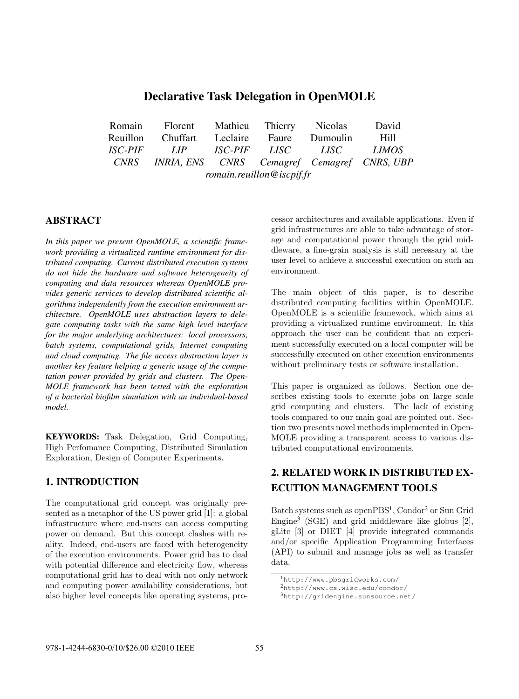# Declarative Task Delegation in OpenMOLE

|                           | Romain Florent Mathieu Thierry Nicolas           |  |  |  | David       |
|---------------------------|--------------------------------------------------|--|--|--|-------------|
|                           | Reuillon Chuffart Leclaire Faure Dumoulin        |  |  |  | <b>Hill</b> |
|                           | ISC-PIF LIP ISC-PIF LISC LISC LIMOS              |  |  |  |             |
|                           | CNRS INRIA, ENS CNRS Cemagref Cemagref CNRS, UBP |  |  |  |             |
| romain.reuillon@iscpif.fr |                                                  |  |  |  |             |

### ABSTRACT

*In this paper we present OpenMOLE, a scientific framework providing a virtualized runtime environment for distributed computing. Current distributed execution systems do not hide the hardware and software heterogeneity of computing and data resources whereas OpenMOLE provides generic services to develop distributed scientific algorithms independently from the execution environment architecture. OpenMOLE uses abstraction layers to delegate computing tasks with the same high level interface for the major underlying architectures: local processors, batch systems, computational grids, Internet computing and cloud computing. The file access abstraction layer is another key feature helping a generic usage of the computation power provided by grids and clusters. The Open-MOLE framework has been tested with the exploration of a bacterial biofilm simulation with an individual-based model.*

KEYWORDS: Task Delegation, Grid Computing, High Perfomance Computing, Distributed Simulation Exploration, Design of Computer Experiments.

### 1. INTRODUCTION

The computational grid concept was originally presented as a metaphor of the US power grid [1]: a global infrastructure where end-users can access computing power on demand. But this concept clashes with reality. Indeed, end-users are faced with heterogeneity of the execution environments. Power grid has to deal with potential difference and electricity flow, whereas computational grid has to deal with not only network and computing power availability considerations, but also higher level concepts like operating systems, processor architectures and available applications. Even if grid infrastructures are able to take advantage of storage and computational power through the grid middleware, a fine-grain analysis is still necessary at the user level to achieve a successful execution on such an environment.

The main object of this paper, is to describe distributed computing facilities within OpenMOLE. OpenMOLE is a scientific framework, which aims at providing a virtualized runtime environment. In this approach the user can be confident that an experiment successfully executed on a local computer will be successfully executed on other execution environments without preliminary tests or software installation.

This paper is organized as follows. Section one describes existing tools to execute jobs on large scale grid computing and clusters. The lack of existing tools compared to our main goal are pointed out. Section two presents novel methods implemented in Open-MOLE providing a transparent access to various distributed computational environments.

# 2. RELATED WORK IN DISTRIBUTED EX-ECUTION MANAGEMENT TOOLS

Batch systems such as openPBS<sup>1</sup>, Condor<sup>2</sup> or Sun Grid Engine<sup>3</sup> (SGE) and grid middleware like globus  $[2]$ , gLite [3] or DIET [4] provide integrated commands and/or specific Application Programming Interfaces (API) to submit and manage jobs as well as transfer data.

<sup>1</sup>http://www.pbsgridworks.com/

<sup>2</sup>http://www.cs.wisc.edu/condor/

<sup>3</sup>http://gridengine.sunsource.net/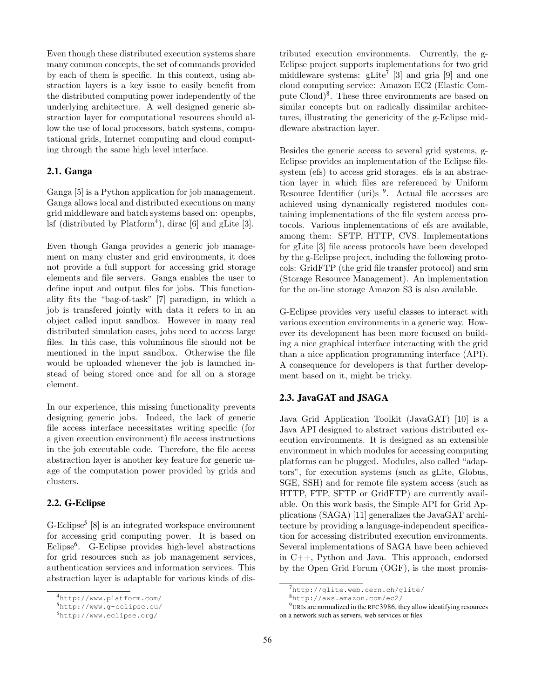Even though these distributed execution systems share many common concepts, the set of commands provided by each of them is specific. In this context, using abstraction layers is a key issue to easily benefit from the distributed computing power independently of the underlying architecture. A well designed generic abstraction layer for computational resources should allow the use of local processors, batch systems, computational grids, Internet computing and cloud computing through the same high level interface.

#### 2.1. Ganga

Ganga [5] is a Python application for job management. Ganga allows local and distributed executions on many grid middleware and batch systems based on: openpbs, lsf (distributed by  $Platform<sup>4</sup>$ ), dirac [6] and gLite [3].

Even though Ganga provides a generic job management on many cluster and grid environments, it does not provide a full support for accessing grid storage elements and file servers. Ganga enables the user to define input and output files for jobs. This functionality fits the "bag-of-task" [7] paradigm, in which a job is transfered jointly with data it refers to in an object called input sandbox. However in many real distributed simulation cases, jobs need to access large files. In this case, this voluminous file should not be mentioned in the input sandbox. Otherwise the file would be uploaded whenever the job is launched instead of being stored once and for all on a storage element.

In our experience, this missing functionality prevents designing generic jobs. Indeed, the lack of generic file access interface necessitates writing specific (for a given execution environment) file access instructions in the job executable code. Therefore, the file access abstraction layer is another key feature for generic usage of the computation power provided by grids and clusters.

#### 2.2. G-Eclipse

G-Eclipse<sup>5</sup> [8] is an integrated workspace environment for accessing grid computing power. It is based on Eclipse<sup>6</sup> . G-Eclipse provides high-level abstractions for grid resources such as job management services, authentication services and information services. This abstraction layer is adaptable for various kinds of dis-

tributed execution environments. Currently, the g-Eclipse project supports implementations for two grid middleware systems:  $g\text{Life}^7$  [3] and gria [9] and one cloud computing service: Amazon EC2 (Elastic Compute Cloud)<sup>8</sup> . These three environments are based on similar concepts but on radically dissimilar architectures, illustrating the genericity of the g-Eclipse middleware abstraction layer.

Besides the generic access to several grid systems, g-Eclipse provides an implementation of the Eclipse filesystem (efs) to access grid storages. efs is an abstraction layer in which files are referenced by Uniform Resource Identifier (uri)s <sup>9</sup>. Actual file accesses are achieved using dynamically registered modules containing implementations of the file system access protocols. Various implementations of efs are available, among them: SFTP, HTTP, CVS. Implementations for gLite [3] file access protocols have been developed by the g-Eclipse project, including the following protocols: GridFTP (the grid file transfer protocol) and srm (Storage Resource Management). An implementation for the on-line storage Amazon S3 is also available.

G-Eclipse provides very useful classes to interact with various execution environments in a generic way. However its development has been more focused on building a nice graphical interface interacting with the grid than a nice application programming interface (API). A consequence for developers is that further development based on it, might be tricky.

### 2.3. JavaGAT and JSAGA

Java Grid Application Toolkit (JavaGAT) [10] is a Java API designed to abstract various distributed execution environments. It is designed as an extensible environment in which modules for accessing computing platforms can be plugged. Modules, also called "adaptors", for execution systems (such as gLite, Globus, SGE, SSH) and for remote file system access (such as HTTP, FTP, SFTP or GridFTP) are currently available. On this work basis, the Simple API for Grid Applications (SAGA) [11] generalizes the JavaGAT architecture by providing a language-independent specification for accessing distributed execution environments. Several implementations of SAGA have been achieved in C++, Python and Java. This approach, endorsed by the Open Grid Forum (OGF), is the most promis-

<sup>4</sup>http://www.platform.com/

<sup>5</sup>http://www.g-eclipse.eu/

<sup>6</sup>http://www.eclipse.org/

 $7$ http://glite.web.cern.ch/glite/

<sup>8</sup>http://aws.amazon.com/ec2/

<sup>&</sup>lt;sup>9</sup>URIs are normalized in the RFC3986, they allow identifying resources on a network such as servers, web services or files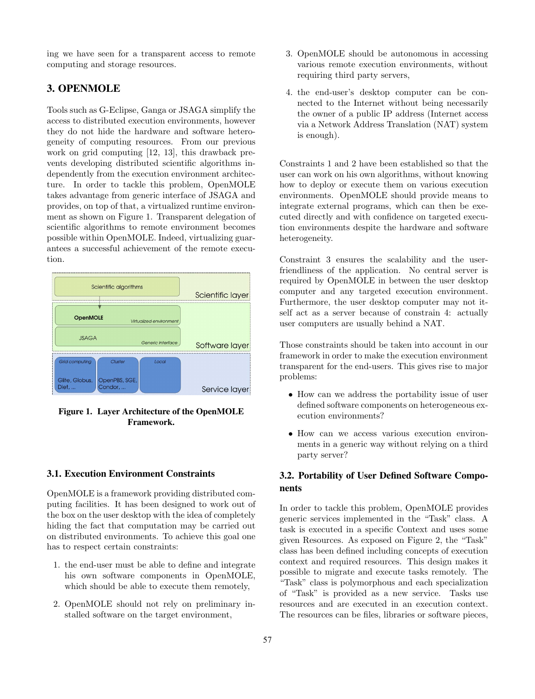ing we have seen for a transparent access to remote computing and storage resources.

## 3. OPENMOLE

Tools such as G-Eclipse, Ganga or JSAGA simplify the access to distributed execution environments, however they do not hide the hardware and software heterogeneity of computing resources. From our previous work on grid computing [12, 13], this drawback prevents developing distributed scientific algorithms independently from the execution environment architecture. In order to tackle this problem, OpenMOLE takes advantage from generic interface of JSAGA and provides, on top of that, a virtualized runtime environment as shown on Figure 1. Transparent delegation of scientific algorithms to remote environment becomes possible within OpenMOLE. Indeed, virtualizing guarantees a successful achievement of the remote execution.



Figure 1. Layer Architecture of the OpenMOLE Framework.

### 3.1. Execution Environment Constraints

OpenMOLE is a framework providing distributed computing facilities. It has been designed to work out of the box on the user desktop with the idea of completely hiding the fact that computation may be carried out on distributed environments. To achieve this goal one has to respect certain constraints:

- 1. the end-user must be able to define and integrate his own software components in OpenMOLE, which should be able to execute them remotely,
- 2. OpenMOLE should not rely on preliminary installed software on the target environment,
- 3. OpenMOLE should be autonomous in accessing various remote execution environments, without requiring third party servers,
- 4. the end-user's desktop computer can be connected to the Internet without being necessarily the owner of a public IP address (Internet access via a Network Address Translation (NAT) system is enough).

Constraints 1 and 2 have been established so that the user can work on his own algorithms, without knowing how to deploy or execute them on various execution environments. OpenMOLE should provide means to integrate external programs, which can then be executed directly and with confidence on targeted execution environments despite the hardware and software heterogeneity.

Constraint 3 ensures the scalability and the userfriendliness of the application. No central server is required by OpenMOLE in between the user desktop computer and any targeted execution environment. Furthermore, the user desktop computer may not itself act as a server because of constrain 4: actually user computers are usually behind a NAT.

Those constraints should be taken into account in our framework in order to make the execution environment transparent for the end-users. This gives rise to major problems:

- How can we address the portability issue of user defined software components on heterogeneous execution environments?
- How can we access various execution environments in a generic way without relying on a third party server?

### 3.2. Portability of User Defined Software Components

In order to tackle this problem, OpenMOLE provides generic services implemented in the "Task" class. A task is executed in a specific Context and uses some given Resources. As exposed on Figure 2, the "Task" class has been defined including concepts of execution context and required resources. This design makes it possible to migrate and execute tasks remotely. The "Task" class is polymorphous and each specialization of "Task" is provided as a new service. Tasks use resources and are executed in an execution context. The resources can be files, libraries or software pieces,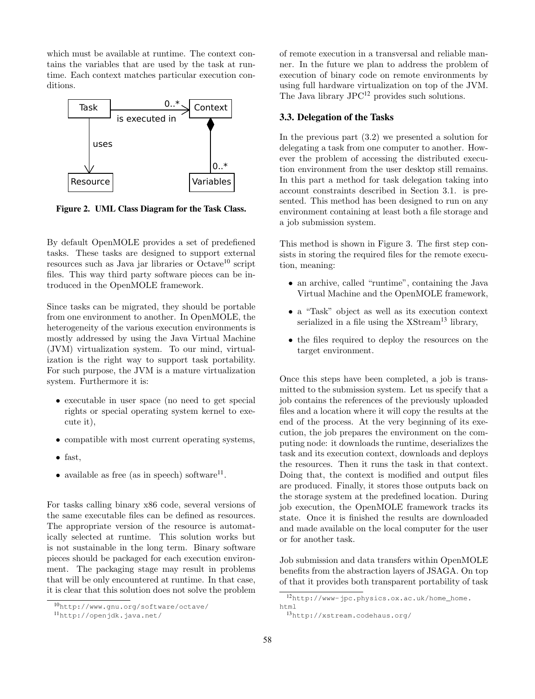which must be available at runtime. The context contains the variables that are used by the task at runtime. Each context matches particular execution conditions.



Figure 2. UML Class Diagram for the Task Class.

By default OpenMOLE provides a set of predefiened tasks. These tasks are designed to support external resources such as Java jar libraries or Octave<sup>10</sup> script files. This way third party software pieces can be introduced in the OpenMOLE framework.

Since tasks can be migrated, they should be portable from one environment to another. In OpenMOLE, the heterogeneity of the various execution environments is mostly addressed by using the Java Virtual Machine (JVM) virtualization system. To our mind, virtualization is the right way to support task portability. For such purpose, the JVM is a mature virtualization system. Furthermore it is:

- executable in user space (no need to get special rights or special operating system kernel to execute it),
- compatible with most current operating systems,
- fast,
- available as free (as in speech) software<sup>11</sup>.

For tasks calling binary x86 code, several versions of the same executable files can be defined as resources. The appropriate version of the resource is automatically selected at runtime. This solution works but is not sustainable in the long term. Binary software pieces should be packaged for each execution environment. The packaging stage may result in problems that will be only encountered at runtime. In that case, it is clear that this solution does not solve the problem

of remote execution in a transversal and reliable manner. In the future we plan to address the problem of execution of binary code on remote environments by using full hardware virtualization on top of the JVM. The Java library JPC<sup>12</sup> provides such solutions.

#### 3.3. Delegation of the Tasks

In the previous part (3.2) we presented a solution for delegating a task from one computer to another. However the problem of accessing the distributed execution environment from the user desktop still remains. In this part a method for task delegation taking into account constraints described in Section 3.1. is presented. This method has been designed to run on any environment containing at least both a file storage and a job submission system.

This method is shown in Figure 3. The first step consists in storing the required files for the remote execution, meaning:

- an archive, called "runtime", containing the Java Virtual Machine and the OpenMOLE framework,
- a "Task" object as well as its execution context serialized in a file using the  $XStream^{13}$  library,
- the files required to deploy the resources on the target environment.

Once this steps have been completed, a job is transmitted to the submission system. Let us specify that a job contains the references of the previously uploaded files and a location where it will copy the results at the end of the process. At the very beginning of its execution, the job prepares the environment on the computing node: it downloads the runtime, deserializes the task and its execution context, downloads and deploys the resources. Then it runs the task in that context. Doing that, the context is modified and output files are produced. Finally, it stores those outputs back on the storage system at the predefined location. During job execution, the OpenMOLE framework tracks its state. Once it is finished the results are downloaded and made available on the local computer for the user or for another task.

Job submission and data transfers within OpenMOLE benefits from the abstraction layers of JSAGA. On top of that it provides both transparent portability of task

<sup>10</sup>http://www.gnu.org/software/octave/

<sup>11</sup>http://openjdk.java.net/

<sup>12</sup>http://www-jpc.physics.ox.ac.uk/home\_home. html

<sup>13</sup>http://xstream.codehaus.org/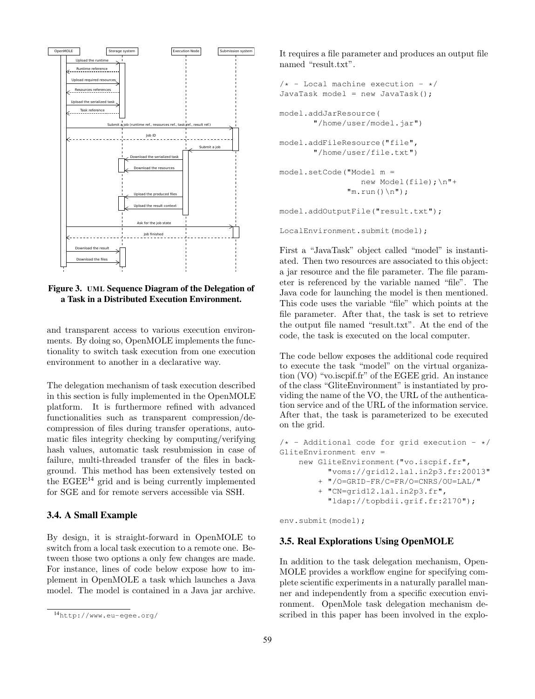

Figure 3. UML Sequence Diagram of the Delegation of a Task in a Distributed Execution Environment.

and transparent access to various execution environments. By doing so, OpenMOLE implements the functionality to switch task execution from one execution environment to another in a declarative way.

The delegation mechanism of task execution described in this section is fully implemented in the OpenMOLE platform. It is furthermore refined with advanced functionalities such as transparent compression/decompression of files during transfer operations, automatic files integrity checking by computing/verifying hash values, automatic task resubmission in case of failure, multi-threaded transfer of the files in background. This method has been extensively tested on the  $EGEE^{14}$  grid and is being currently implemented for SGE and for remote servers accessible via SSH.

### 3.4. A Small Example

By design, it is straight-forward in OpenMOLE to switch from a local task execution to a remote one. Between those two options a only few changes are made. For instance, lines of code below expose how to implement in OpenMOLE a task which launches a Java model. The model is contained in a Java jar archive.

It requires a file parameter and produces an output file named "result.txt".

```
/* - Local machine execution - */JavaTask model = new JavaTask();
model.addJarResource(
       "/home/user/model.jar")
model.addFileResource("file",
       "/home/user/file.txt")
model.setCode("Model m =
                 new Model(file);\n"+
              "m.run() \n\ n";
model.addOutputFile("result.txt");
```

```
LocalEnvironment.submit(model);
```
First a "JavaTask" object called "model" is instantiated. Then two resources are associated to this object: a jar resource and the file parameter. The file parameter is referenced by the variable named "file". The Java code for launching the model is then mentioned. This code uses the variable "file" which points at the file parameter. After that, the task is set to retrieve the output file named "result.txt". At the end of the code, the task is executed on the local computer.

The code bellow exposes the additional code required to execute the task "model" on the virtual organization (VO) "vo.iscpif.fr" of the EGEE grid. An instance of the class "GliteEnvironment" is instantiated by providing the name of the VO, the URL of the authentication service and of the URL of the information service. After that, the task is parameterized to be executed on the grid.

```
/* - Additional code for grid execution - */GliteEnvironment env =
    new GliteEnvironment("vo.iscpif.fr",
          "voms://grid12.lal.in2p3.fr:20013"
        + "/O=GRID-FR/C=FR/O=CNRS/OU=LAL/"
        + "CN=grid12.lal.in2p3.fr",
          "ldap://topbdii.grif.fr:2170");
```
env.submit(model);

### 3.5. Real Explorations Using OpenMOLE

In addition to the task delegation mechanism, Open-MOLE provides a workflow engine for specifying complete scientific experiments in a naturally parallel manner and independently from a specific execution environment. OpenMole task delegation mechanism described in this paper has been involved in the explo-

<sup>14</sup>http://www.eu-egee.org/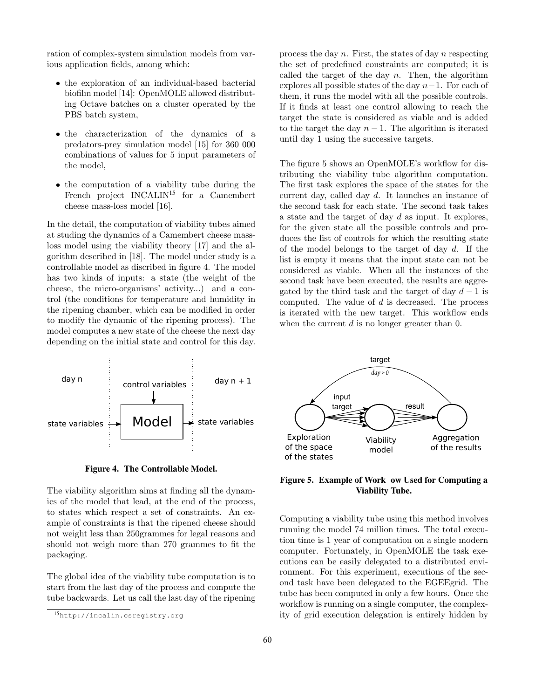ration of complex-system simulation models from various application fields, among which:

- the exploration of an individual-based bacterial biofilm model [14]: OpenMOLE allowed distributing Octave batches on a cluster operated by the PBS batch system,
- the characterization of the dynamics of a predators-prey simulation model [15] for 360 000 combinations of values for 5 input parameters of the model,
- the computation of a viability tube during the French project INCALIN<sup>15</sup> for a Camembert cheese mass-loss model [16].

In the detail, the computation of viability tubes aimed at studing the dynamics of a Camembert cheese massloss model using the viability theory [17] and the algorithm described in [18]. The model under study is a controllable model as discribed in figure 4. The model has two kinds of inputs: a state (the weight of the cheese, the micro-organisms' activity...) and a control (the conditions for temperature and humidity in the ripening chamber, which can be modified in order to modify the dynamic of the ripening process). The model computes a new state of the cheese the next day depending on the initial state and control for this day.



Figure 4. The Controllable Model.

The viability algorithm aims at finding all the dynamics of the model that lead, at the end of the process, to states which respect a set of constraints. An example of constraints is that the ripened cheese should not weight less than 250grammes for legal reasons and should not weigh more than 270 grammes to fit the packaging.

The global idea of the viability tube computation is to start from the last day of the process and compute the tube backwards. Let us call the last day of the ripening

process the day  $n$ . First, the states of day  $n$  respecting the set of predefined constraints are computed; it is called the target of the day  $n$ . Then, the algorithm explores all possible states of the day  $n-1$ . For each of them, it runs the model with all the possible controls. If it finds at least one control allowing to reach the target the state is considered as viable and is added to the target the day  $n-1$ . The algorithm is iterated until day 1 using the successive targets.

The figure 5 shows an OpenMOLE's workflow for distributing the viability tube algorithm computation. The first task explores the space of the states for the current day, called day d. It launches an instance of the second task for each state. The second task takes a state and the target of day  $d$  as input. It explores, for the given state all the possible controls and produces the list of controls for which the resulting state of the model belongs to the target of day  $d$ . If the list is empty it means that the input state can not be considered as viable. When all the instances of the second task have been executed, the results are aggregated by the third task and the target of day  $d-1$  is computed. The value of  $d$  is decreased. The process is iterated with the new target. This workflow ends when the current  $d$  is no longer greater than 0.



### Figure 5. Example of Work ow Used for Computing a Viability Tube.

Computing a viability tube using this method involves running the model 74 million times. The total execution time is 1 year of computation on a single modern computer. Fortunately, in OpenMOLE the task executions can be easily delegated to a distributed environment. For this experiment, executions of the second task have been delegated to the EGEEgrid. The tube has been computed in only a few hours. Once the workflow is running on a single computer, the complexity of grid execution delegation is entirely hidden by

<sup>15</sup>http://incalin.csregistry.org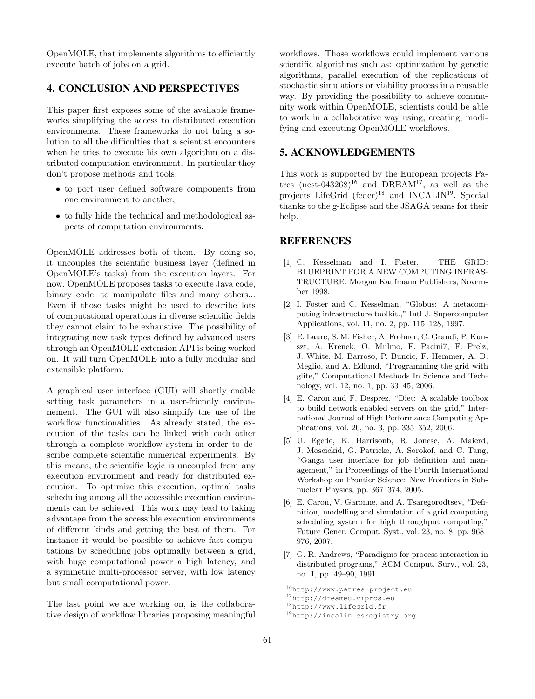OpenMOLE, that implements algorithms to efficiently execute batch of jobs on a grid.

### 4. CONCLUSION AND PERSPECTIVES

This paper first exposes some of the available frameworks simplifying the access to distributed execution environments. These frameworks do not bring a solution to all the difficulties that a scientist encounters when he tries to execute his own algorithm on a distributed computation environment. In particular they don't propose methods and tools:

- to port user defined software components from one environment to another,
- to fully hide the technical and methodological aspects of computation environments.

OpenMOLE addresses both of them. By doing so, it uncouples the scientific business layer (defined in OpenMOLE's tasks) from the execution layers. For now, OpenMOLE proposes tasks to execute Java code, binary code, to manipulate files and many others... Even if those tasks might be used to describe lots of computational operations in diverse scientific fields they cannot claim to be exhaustive. The possibility of integrating new task types defined by advanced users through an OpenMOLE extension API is being worked on. It will turn OpenMOLE into a fully modular and extensible platform.

A graphical user interface (GUI) will shortly enable setting task parameters in a user-friendly environnement. The GUI will also simplify the use of the workflow functionalities. As already stated, the execution of the tasks can be linked with each other through a complete workflow system in order to describe complete scientific numerical experiments. By this means, the scientific logic is uncoupled from any execution environment and ready for distributed execution. To optimize this execution, optimal tasks scheduling among all the accessible execution environments can be achieved. This work may lead to taking advantage from the accessible execution environments of different kinds and getting the best of them. For instance it would be possible to achieve fast computations by scheduling jobs optimally between a grid, with huge computational power a high latency, and a symmetric multi-processor server, with low latency but small computational power.

The last point we are working on, is the collaborative design of workflow libraries proposing meaningful

workflows. Those workflows could implement various scientific algorithms such as: optimization by genetic algorithms, parallel execution of the replications of stochastic simulations or viability process in a reusable way. By providing the possibility to achieve community work within OpenMOLE, scientists could be able to work in a collaborative way using, creating, modifying and executing OpenMOLE workflows.

#### 5. ACKNOWLEDGEMENTS

This work is supported by the European projects Patres (nest-043268)<sup>16</sup> and DREAM<sup>17</sup>, as well as the projects LifeGrid (feder)<sup>18</sup> and INCALIN<sup>19</sup>. Special thanks to the g-Eclipse and the JSAGA teams for their help.

### **REFERENCES**

- [1] C. Kesselman and I. Foster, THE GRID: BLUEPRINT FOR A NEW COMPUTING INFRAS-TRUCTURE. Morgan Kaufmann Publishers, November 1998.
- [2] I. Foster and C. Kesselman, "Globus: A metacomputing infrastructure toolkit.," Intl J. Supercomputer Applications, vol. 11, no. 2, pp. 115–128, 1997.
- [3] E. Laure, S. M. Fisher, A. Frohner, C. Grandi, P. Kunszt, A. Krenek, O. Mulmo, F. Pacini7, F. Prelz, J. White, M. Barroso, P. Buncic, F. Hemmer, A. D. Meglio, and A. Edlund, "Programming the grid with glite," Computational Methods In Science and Technology, vol. 12, no. 1, pp. 33–45, 2006.
- [4] E. Caron and F. Desprez, "Diet: A scalable toolbox to build network enabled servers on the grid," International Journal of High Performance Computing Applications, vol. 20, no. 3, pp. 335–352, 2006.
- [5] U. Egede, K. Harrisonb, R. Jonesc, A. Maierd, J. Moscickid, G. Patricke, A. Sorokof, and C. Tang, "Ganga user interface for job definition and management," in Proceedings of the Fourth International Workshop on Frontier Science: New Frontiers in Subnuclear Physics, pp. 367–374, 2005.
- [6] E. Caron, V. Garonne, and A. Tsaregorodtsev, "Definition, modelling and simulation of a grid computing scheduling system for high throughput computing, Future Gener. Comput. Syst., vol. 23, no. 8, pp. 968– 976, 2007.
- [7] G. R. Andrews, "Paradigms for process interaction in distributed programs," ACM Comput. Surv., vol. 23, no. 1, pp. 49–90, 1991.

<sup>16</sup>http://www.patres-project.eu

<sup>17</sup>http://dreameu.vipros.eu

<sup>18</sup>http://www.lifegrid.fr

<sup>19</sup>http://incalin.csregistry.org